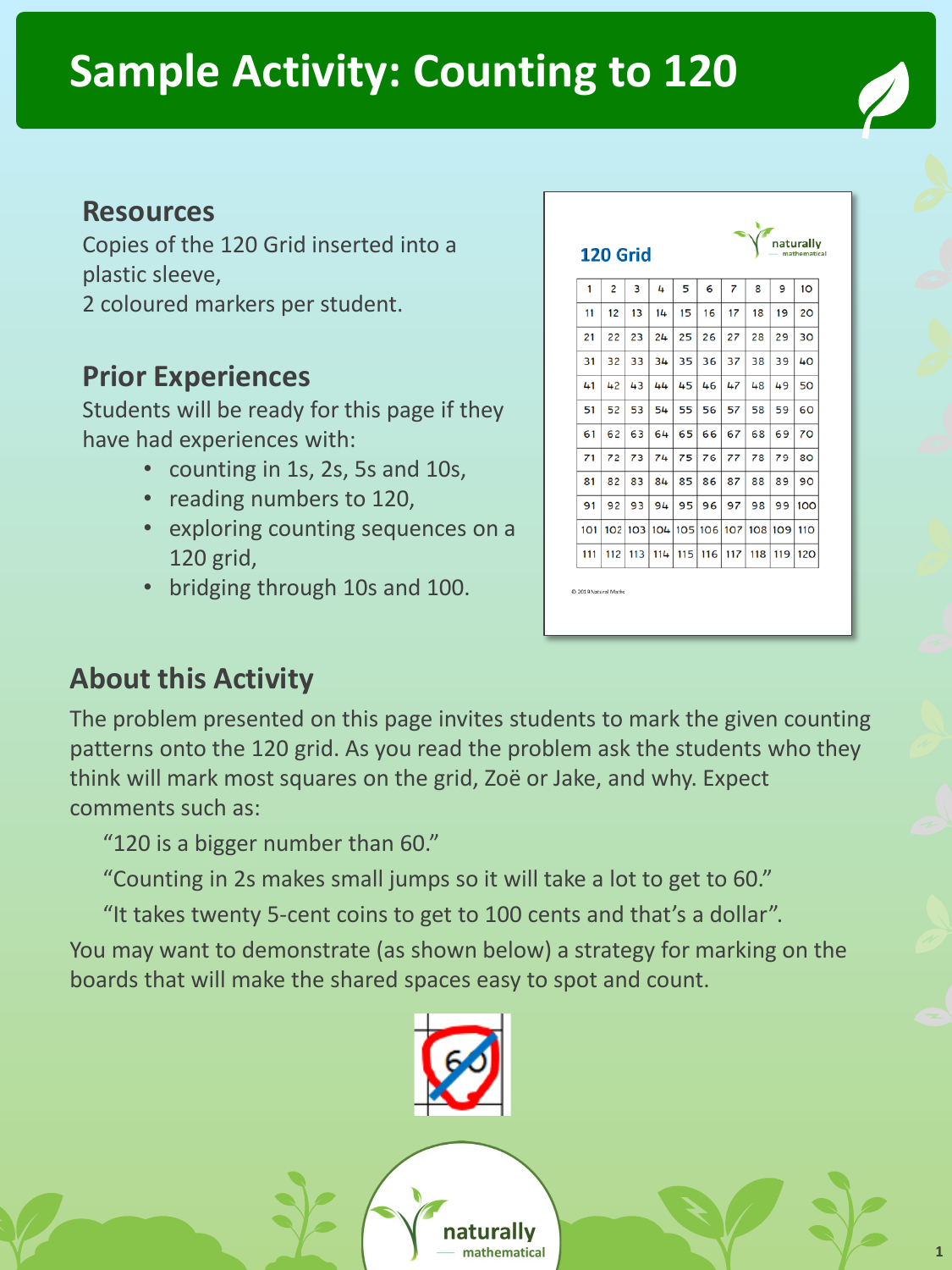#### **Sample Activity: Counting to 120**

#### **Resources**

Copies of the 120 Grid inserted into a plastic sleeve,

2 coloured markers per student.

#### **Prior Experiences**

Students will be ready for this page if they have had experiences with:

- counting in 1s, 2s, 5s and 10s,
- reading numbers to 120,
- exploring counting sequences on a 120 grid,
- bridging through 10s and 100.

| naturally<br>120 Grid<br>mathematical |                |                 |     |     |     |     |     |     |     |  |
|---------------------------------------|----------------|-----------------|-----|-----|-----|-----|-----|-----|-----|--|
| 1                                     | $\overline{c}$ | 3               | 4   | 5   | 6   | 7   | 8   | 9   | 10  |  |
| 11                                    | 12             | 13              | 14  | 15  | 16  | 17  | 18  | 19  | 20  |  |
| 21                                    | 22             | 23              | 24  | 25  | 26  | 27  | 28  | 29  | 30  |  |
| 31                                    | 32             | 33              | 34  | 35  | 36  | 37  | 38  | 39  | 40  |  |
| 41                                    | 42             | 43              | 44  | 45  | 46  | 47  | 48  | 49  | 50  |  |
| 51                                    | 52             | 53              | 54  | 55  | 56  | 57  | 58  | 59  | 60  |  |
| 61                                    | 62             | 63              | 64  | 65  | 66  | 67  | 68  | 69  | 70  |  |
| 71                                    | 72             | 73              | 74  | 75  | 76  | 77  | 78  | 79  | 80  |  |
| 81                                    | 82             | 83              | 84  | 85  | 86  | 87  | 88  | 89  | 90  |  |
| 91                                    | 92             | 93              | 94  | 95  | 96  | 97  | 98  | 99  | 100 |  |
| 101                                   | 102            | 10 <sub>3</sub> | 104 | 105 | 106 | 107 | 108 | 109 | 110 |  |
| 111                                   | 112            | 113             | 114 | 115 | 116 | 117 | 118 | 119 | 120 |  |

#### **About this Activity**

The problem presented on this page invites students to mark the given counting patterns onto the 120 grid. As you read the problem ask the students who they think will mark most squares on the grid, Zoë or Jake, and why. Expect comments such as:

"120 is a bigger number than 60."

"Counting in 2s makes small jumps so it will take a lot to get to 60."

"It takes twenty 5-cent coins to get to 100 cents and that's a dollar".

You may want to demonstrate (as shown below) a strategy for marking on the boards that will make the shared spaces easy to spot and count.

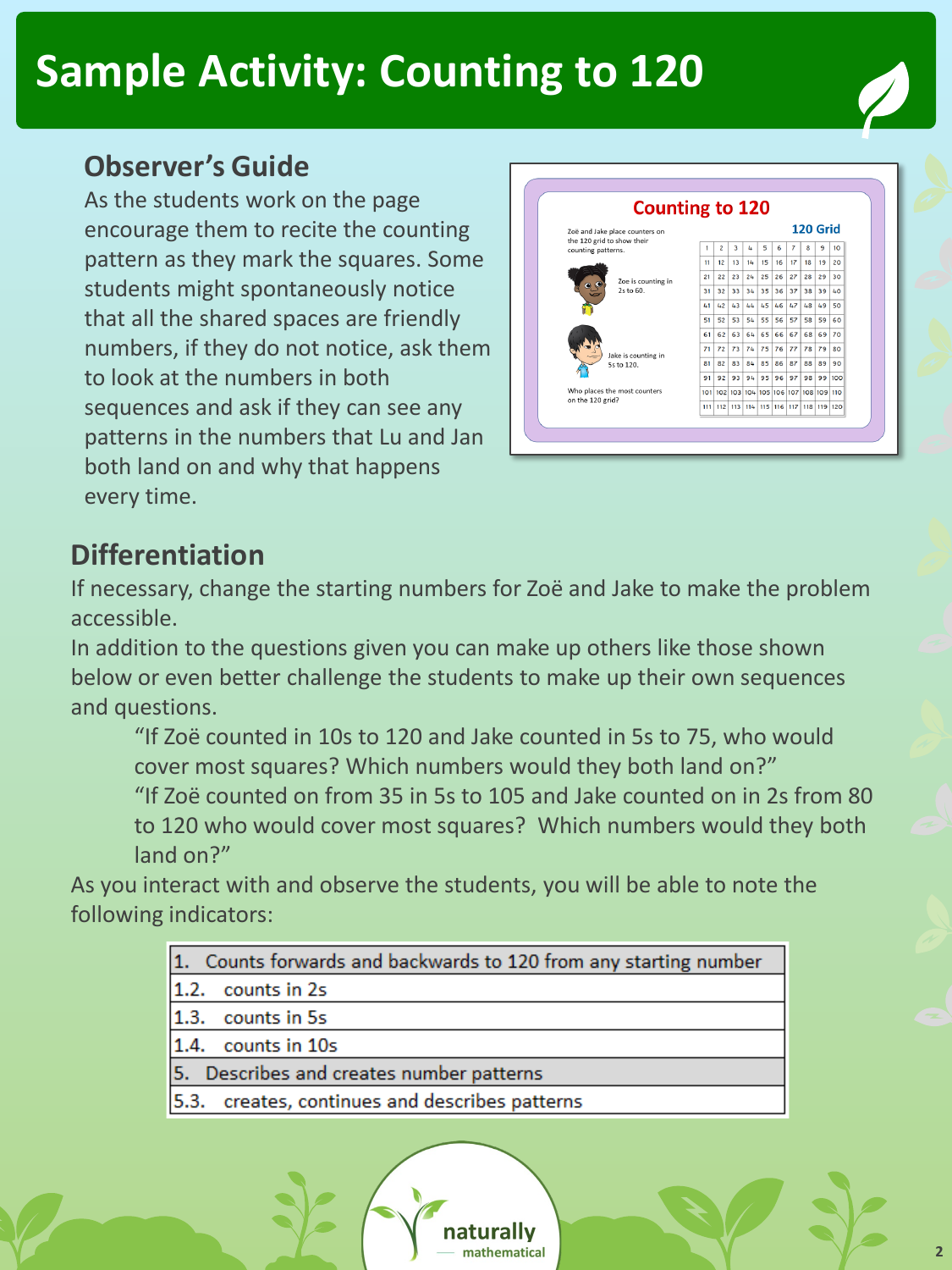#### **Sample Activity: Counting to 120**

#### **Observer's Guide**

As the students work on the page encourage them to recite the counting pattern as they mark the squares. Some students might spontaneously notice that all the shared spaces are friendly numbers, if they do not notice, ask them to look at the numbers in both sequences and ask if they can see any patterns in the numbers that Lu and Jan both land on and why that happens every time.



#### **Differentiation**

If necessary, change the starting numbers for Zoë and Jake to make the problem accessible.

In addition to the questions given you can make up others like those shown below or even better challenge the students to make up their own sequences and questions.

"If Zoë counted in 10s to 120 and Jake counted in 5s to 75, who would cover most squares? Which numbers would they both land on?" "If Zoë counted on from 35 in 5s to 105 and Jake counted on in 2s from 80 to 120 who would cover most squares? Which numbers would they both land on?"

As you interact with and observe the students, you will be able to note the following indicators:

| 1. Counts forwards and backwards to 120 from any starting number |  |  |  |  |  |  |
|------------------------------------------------------------------|--|--|--|--|--|--|
| 1.2. counts in 2s                                                |  |  |  |  |  |  |
| 1.3. counts in 5s                                                |  |  |  |  |  |  |
| 1.4. counts in 10s                                               |  |  |  |  |  |  |
| 5. Describes and creates number patterns                         |  |  |  |  |  |  |
| 5.3. creates, continues and describes patterns                   |  |  |  |  |  |  |
|                                                                  |  |  |  |  |  |  |

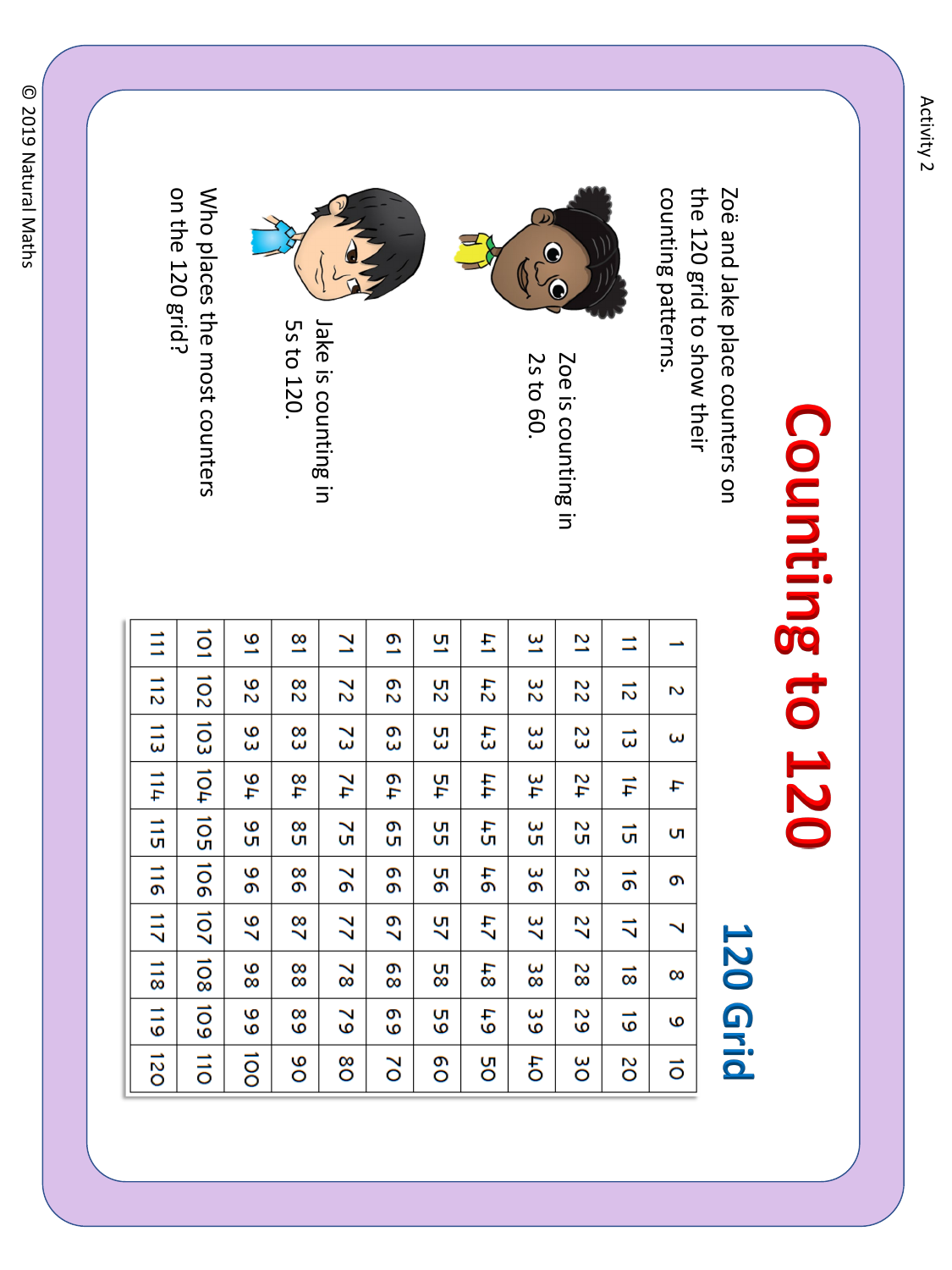# Counting to 120

the 120 grid to show their counting patterns. Zoë and Jake place counters on counting patterns. the 120 grid to show their Zoë and Jake place counters on



Zoe is counting in 2s to 60. Zoe is counting in



Jake is counting in Jake is counting in

on the 120 grid? Who places the most counters on the 120 grid? Who places the most counters

5s to 120.

 $\overrightarrow{O}$ E  $\overline{6}$  $\frac{8}{1}$  $\overline{\mathbf{z}}$  $\overline{\mathbf{c}}$ <u>ण</u> E  $\overline{3}$  $\overline{2}$ E →  $\frac{11}{2}$ 102 103 104 105 106 107 108 109  $\overline{6}$  $\overline{2}$  $82$  $142$  $\frac{3}{2}$  $\frac{8}{2}$ 25 22  $\vec{z}$ 2  $\frac{1}{2}$ 83  $\mathfrak{I}$ e3  $\ddot{1}$ ξ ဥ္သ ပ္ပ 23  $\vec{\omega}$ ω  $11<sub>+</sub>$ 44 76  $1/8$  $\overline{17}$ 419 -54 45 47  $\frac{1}{4}$ t  $\frac{1}{5}$ о<br>С  $\overline{1}$ ς<br>Ο  $\frac{8}{5}$  $\mathbf{S}$ δg Sp SS  $\vec{a}$ ŪΠ,  $\frac{1}{2}$ 96 99  $\overline{6}$ ဖွ 98  $\overline{5}$ no 97  $\vec{0}$ Ō 211  $\frac{6}{5}$  $\frac{8}{2}$  $\overline{2}$  $29$ 57  $\frac{1}{4}$  $\frac{2}{3}$ 22  $\vec{v}$ Ñ  $\frac{1}{3}$  $\frac{8}{8}$ ဖွ 88  $\overline{8}$  $\frac{8}{8}$  $4.8$ 82 58  $\vec{8}$  $\infty$  $\frac{11}{6}$  $\mathsf{f}$ <u>ဖ</u>  $\frac{6}{6}$  $\tilde{6}$  $\overline{6}$  $\frac{5}{6}$ 53  $\frac{8}{6}$  $\vec{6}$ G  $\overline{120}$  $\frac{1}{10}$  $rac{1}{2}$ o<br>O **DO** Ōф 8O 8O  $\overline{\delta}$ δg SO  $\vec{o}$ 

## **120 Grid**